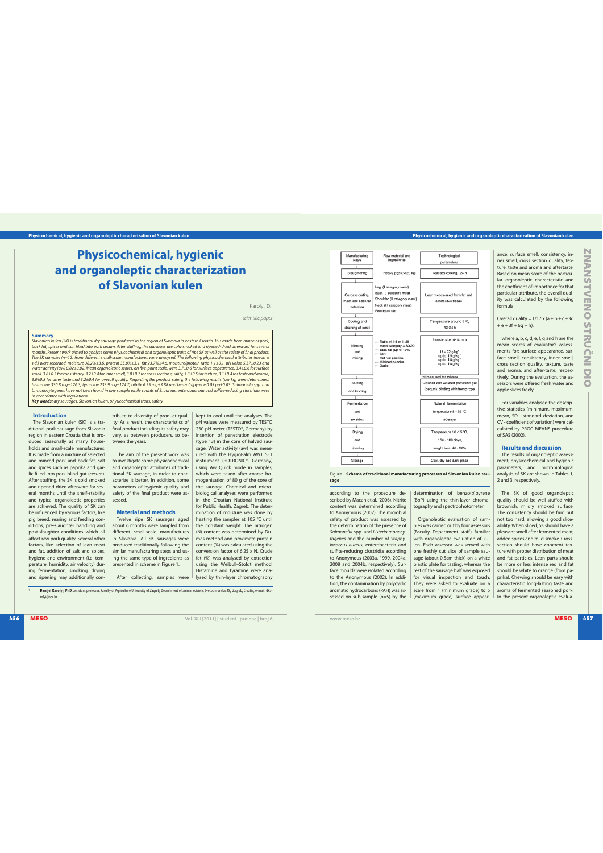# **Physicochemical, hygienic and organoleptic characterization of Slavonian kulen**

Karolyi, D.<sup>1</sup>

scientific paper

kept in cool until the analyses. The pH values were measured by TESTO 230 pH meter (TESTO®, Germany) by<br>insertion of penetration electrode (type 13) in the core of halved sausage. Water activity (aw) was measured with the HygroPalm AW1 SET<br>instrument (ROTRONIC®, Germany) using Aw Quick mode in samples,<br>which were taken after coarse ho-<br>mogenisation of 80 g of the core of<br>the sausage. Chemical and microbiological analyses were performed in the Croatian National Institute for Public Health, Zagreb. The determination of moisture was done by heating the samples at 105 °C until<br>the constant weight. The nitrogen<br>(N) content was determined by Du-<br>mas method and proximate protein content  $%$ ) was calculated using the conversion factor of 6.25 x N. Crude

na**ry**<br>Ian kulen (SK) is traditional dry sausage produced in the region of Slavonia in eastern Croatia. It is made from mince of pork Slavonian kulen (SK) is traditional dry soussage produced in the region of Slavonia in eastern Croatia. It is made from mince of pork, tar, is pies and salt filled into poik cecum. After stuffing, the suscapes are cold-smo **Key words:** dry sausages, Slavonian kulen, physicochemical traits, safety

**Introduction**

The Slavonian kulen (SK) is a traditional pork sausage from Slavonia region in eastern Croatia that is produced seasonally at many households and small-scale manufactures. It is made from a mixture of selected and minced pork and back fat, salt and spices such as paprika and gar-lic filled into pork blind gut (cecum). After stuffing, the SK is cold smoked and ripened-dried afterward for several months until the shelf-stability and typical organoleptic properties are achieved. The quality of SK can be influenced by various factors, like pig breed, rearing and feeding con-ditions, pre-slaughter handling and post-slaughter conditions which all affect raw pork quality. Several other factors, like selection of lean meat and fat, addition of salt and spices, hygiene and environment (i.e. tem-perature, humidity, air velocity) during fermentation, smoking, drying and ripening may additionally con-

tribute to diversity of product quality. As a result, the characteristics of final product including its safety may vary, as between producers, so between the years.

The aim of the present work was to investigate some physicochemical and organoleptic attributes of traditional SK sausage, in order to char-acterize it better. In addition, some parameters of hygienic quality and safety of the final product were assessed.

# **Material and methods**

Twelve ripe SK sausages aged<br>about 6 months were sampled from<br>different small-scale manufactures<br>in Slavonia. All SK sausages were produced traditionally following the similar manufacturing steps and using the same type of ingredients as presented in scheme in Figure 1.

After collecting, samples were fat (%) was analysed by extraction<br>using the Weibull-Stoldt method. Histamine and tyramine were ana-lysed by thin-layer chromatography

<sup>1</sup> **Danijel Karolyi, PhD**, assistant professor, Faculty of Agriculture University of Zagreb, Department of animal science, Svetosimunska 25, Zagreb, Croatia, e-mail: dkarolyi@agr.hr

Physiochemical, hygiene<br>
definition of Slavonian kulen<br>
and or Slavonian kulen<br>
and the student of Slavonian kulen<br>
and the student of Slavonian kulen<br>
and the student of Slavonian kulen<br>
and the student of Slavonian kulen

Figure 1 **Schema of traditional manufacturing processes of Slavonian kulen sausage**

> determination of benzo(a)pyrene (BaP) using the thin-layer ch tography and spectrophotometer.

Organoleptic evaluation of sam-ples was carried out by four assessors (Faculty Department staff) familiar with organoleptic evaluation of kulen. Each assessor was served with one freshly cut slice of sample sausage (about 0.5cm thick) on a white plastic plate for tasting, whereas the rest of the sausage half was exposed for visual inspection and touch. They were asked to evaluate on a scale from 1 (minimum grade) to 5 (maximum grade) surface appear-

according to the procedure de-<br>scribed by Macan et al. (2006). Nitrite content was determined according<br>to Anonymous (2007). The microbial safety of product was assessed by the determination of the presence of Salmonella spp. and Listeria monocy-<br>togenes and the number of Staphylococcus aureus, enterobacteria and sulfite-reducing clostridia according to Anonymous (2003a, 1999, 2004a,<br>2008 and 2004b, respectively). Surface moulds were isolated according<br>to the Anonymous (2002). In addition, the contamination by polycyclic aromatic hydrocarbons (PAH) was assessed on sub-sample (n=5) by the

**Physicochemical, hygienic and organoleptic characterization of Slavonian kulen Physicochemical, hygienic and organoleptic characterization of Slavonian kulen**

ance, surface smell, consistency, inner smell, cross section quality, tex-ture, taste and aroma and aftertaste. Based on mean score of the particular organoleptic characteristic and the coefficient of importance for that particular attribute, the overall quality was calculated by the following formula:

Overall quality =  $1/17$  x (a + b + c +3d)  $+ e + 3f + 6g + h$ 

where a, b, c, d, e, f, g and h are the mean scores of evaluator's assessments for: surface appearance, sur-<br>face smell, consistency, inner smell,<br>cross section quality, texture, taste<br>and aroma, and after-taste, respectively. During the evaluation, the as-sessors were offered fresh water and apple slices freely.

For variables analysed the descrip-tive statistics (minimum, maximum, mean, SD - standard deviation, and CV - coefficient of variation) were calculated by PROC MEANS procedure<br>of SAS (2002).

## **Results and discussion**

The results of organoleptic assess-ment, physicochemical and hygienic parameters, and microbiological analysis of SK are shown in Tables 1, and 3, respectively.

The SK of good organoleptic quality should be well-stuffed with brownish, mildly smoked surface. The consistency should be firm but not too hard, allowing a good slice-ability. When sliced, SK should have a pleasant smell after fermented meat, .<br>added spices and mild-smoke. Crosssection should have coherent tex-ture with proper distribution of meat and fat particles. Lean parts should be more or less intense red and fat should be white to orange (from pa-prika). Chewing should be easy with characteristic long-lasting taste and aroma of fermented seasoned pork. In the present organoleptic evalua-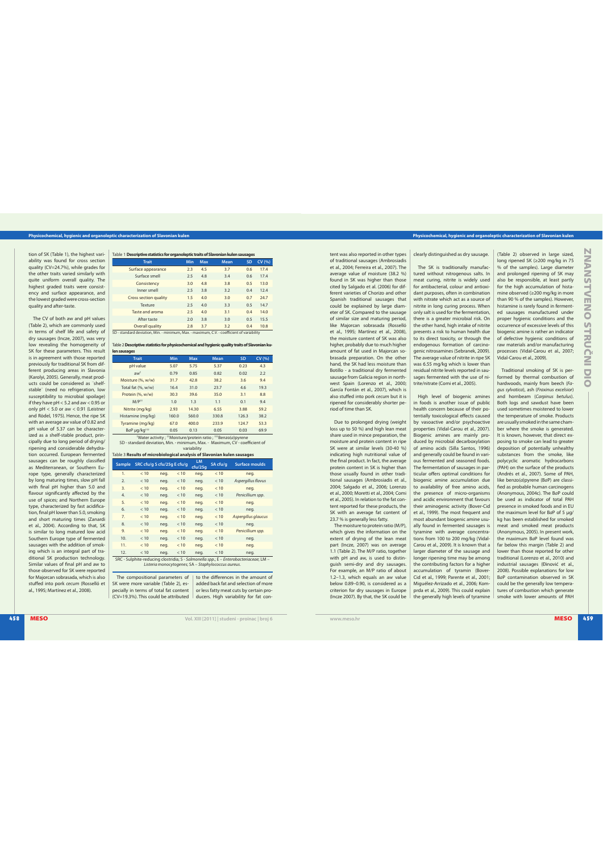### **Physicochemical, hygienic and organoleptic characterization of Slavonian kulen Physicochemical, hygienic and organoleptic characterization of Slavonian kulen**

tion of SK (Table 1), the highest variability was found for cross section<br>quality (CV=24.7%), while grades for the other traits varied similarly with quite uniform overall quality. The highest graded traits were consist-ency and surface appearance, and the lowest graded were cross-section quality and after-taste.

 $\frac{1}{2}$ The CV of both aw and pH values (Table 2), which are commonly used<br>in terms of shelf life and safety of dry sausages (Incze, 2007), was very<br>low revealing the homogeneity of SK for these parameters. This result is in agreement with those reported previously for traditional SK from dif-ferent producing areas in Slavonia (Karolyi, 2005). Generally, meat prod-<br>ucts could be considered as "shelfstable¨ (need no refrigeration, low susceptibility to microbial spoilage) if they have pH < 5.2 and aw < 0.95 or<br>only pH < 5.0 or aw < 0.91 (Leistner<br>and Rödel, 1975). Hence, the ripe SK with an average aw value of 0.82 and pH value of 5.37 can be character-<br>ized as a shelf-stable product, principally due to long period of drying/ ripening and considerable dehydration occurred. European fermented sausages can be roughly classified as Mediterranean, or Southern Europe type, generally characteriz by long maturing times, slow pH fall<br>with final pH higher than 5.0 and flavour significantly affected by the<br>use of spices; and Northern Europe type, characterized by fast acidifica-<br>tion, final pH lower than 5.0, smoking and short maturing times (Zanardi<br>et al., 2004). According to that, SK is similar to long matured low acid Southern Europe type of fermented sausages with the addition of smoking which is an integral part of traditional SK production technology. Similar values of final pH and aw to those observed for SK were reported for Majorcan sobrasada, which is also stuffed into pork cecum (Rosselló et al., 1995; Martínez et al., 2008).

| Table 1 <b>Descriptive statistics for organoleptic traits of Slavonian kulen sausages</b>  |                        |     |     |      |     |        |
|--------------------------------------------------------------------------------------------|------------------------|-----|-----|------|-----|--------|
|                                                                                            | <b>Trait</b>           | Min | Max | Mean | SD  | CV (%) |
|                                                                                            | Surface appearance     | 2.3 | 4.5 | 3.7  | 0.6 | 17.4   |
|                                                                                            | Surface smell          | 2.5 | 4.8 | 3.4  | 0.6 | 17.4   |
|                                                                                            | Consistency            | 3.0 | 4.8 | 3.8  | 0.5 | 13.0   |
|                                                                                            | Inner smell            | 2.5 | 3.8 | 3.2  | 0.4 | 12.4   |
|                                                                                            | Cross section quality  | 1.5 | 4.0 | 3.0  | 0.7 | 24.7   |
|                                                                                            | Texture                | 2.5 | 4.0 | 3.3  | 0.5 | 14.7   |
|                                                                                            | Taste and aroma        | 2.5 | 4.0 | 3.1  | 0.4 | 14.0   |
|                                                                                            | After taste            | 2.0 | 3.8 | 3.0  | 0.5 | 15.5   |
|                                                                                            | <b>Overall quality</b> | 2.8 | 3.7 | 3.2  | 0.4 | 10.8   |
| SD - standard deviation, Min. - minimum, Max. - maximum, C.V. - coefficient of variability |                        |     |     |      |     |        |

| Table 2 Descriptive statistics for physicochemical and hygienic quality traits of Slavonian ku- |      |            |             |      |        |  |  |  |
|-------------------------------------------------------------------------------------------------|------|------------|-------------|------|--------|--|--|--|
| len sausages                                                                                    |      |            |             |      |        |  |  |  |
| <b>Trait</b>                                                                                    | Min  | <b>Max</b> | <b>Mean</b> | SD   | CV (%) |  |  |  |
| pH value                                                                                        | 5.07 | 5.75       | 5.37        | 0.23 | 43     |  |  |  |
| $AW^{\dagger}$                                                                                  | 0.79 | 0.85       | 0.82        | 0.02 | 2.2    |  |  |  |
| Moisture (%, w/w)                                                                               | 31.7 | 42.8       | 38.2        | 3.6  | 9.4    |  |  |  |
| Total fat (%, w/w)                                                                              | 16.4 | 31.0       | 23.7        | 4.6  | 19.3   |  |  |  |

|                                                              | Protein (%, w/w)                                                             | 30.3  | 39.6  | 35.0  | 3.1   | 8.8  |  |  |
|--------------------------------------------------------------|------------------------------------------------------------------------------|-------|-------|-------|-------|------|--|--|
|                                                              | $M/P$ <sup>11</sup>                                                          | 1.0   | 1.3   | 1.1   | 0.1   | 9.4  |  |  |
|                                                              | Nitrite (mq/kq)                                                              | 2.93  | 14.30 | 6.55  | 3.88  | 59.2 |  |  |
|                                                              | Histamine (mg/kg)                                                            | 160.0 | 560.0 | 330.8 | 126.3 | 38.2 |  |  |
|                                                              | Tyramine (mq/kq)                                                             | 67.0  | 400.0 | 233.9 | 124.7 | 53.3 |  |  |
|                                                              | BaP µq/kq <sup>+++</sup>                                                     | 0.05  | 0.13  | 0.05  | 0.03  | 69.9 |  |  |
| "Water activity ; "Moisture/protein ratio ; ""Benzo(a)pyrene |                                                                              |       |       |       |       |      |  |  |
|                                                              | SD - standard deviation, Min. - minimum, Max. - Maximum, CV - coefficient of |       |       |       |       |      |  |  |

variability

| Table 3 Results of microbiological analysis of Slavonian kulen sausages                                                                      |                             |      |      |                      |          |                       |
|----------------------------------------------------------------------------------------------------------------------------------------------|-----------------------------|------|------|----------------------|----------|-----------------------|
| <b>Sample</b>                                                                                                                                | SRC cfu/g S cfu/25g E cfu/g |      |      | <b>LM</b><br>ctu/25a | SA cfu/a | <b>Surface moulds</b> |
| 1.                                                                                                                                           | < 10                        | neq. | < 10 | neg.                 | < 10     | neq.                  |
| 2.                                                                                                                                           | < 10                        | neq. | < 10 | neg.                 | < 10     | Aspergillus flavus    |
| 3.                                                                                                                                           | < 10                        | neq. | < 10 | neq.                 | < 10     | neq.                  |
| 4.                                                                                                                                           | < 10                        | neq. | < 10 | neg.                 | < 10     | Penicillium spp.      |
| 5.                                                                                                                                           | < 10                        | neq. | < 10 | neq.                 | < 10     | neq.                  |
| 6.                                                                                                                                           | < 10                        | neq. | < 10 | neg.                 | < 10     | neq.                  |
| 7.                                                                                                                                           | < 10                        | neq. | < 10 | neq.                 | < 10     | Aspergillus glaucus   |
| 8.                                                                                                                                           | < 10                        | neq. | < 10 | neg.                 | < 10     | neq.                  |
| 9.                                                                                                                                           | < 10                        | neq. | < 10 | neq.                 | < 10     | Penicillium spp.      |
| 10.                                                                                                                                          | < 10                        | neq. | < 10 | neg.                 | < 10     | neq.                  |
| 11.                                                                                                                                          | < 10                        | neq. | < 10 | neq.                 | < 10     | neq.                  |
| 12.                                                                                                                                          | < 10                        | neq. | < 10 | neg.                 | < 10     | neq.                  |
| SRC - Sulphite-reducing clostridia; S - Salmonella spp.; E - Enterobacteriaceae; LM -<br>Listeria monocytogenes; SA - Staphylococcus aureus. |                             |      |      |                      |          |                       |

The compositional parameters of SK were more variable (Table 2), especially in terms of total fat content (CV=19.3%). This could be attributed to the differences in the amount of added back fat and selection of more or less fatty meat cuts by certain producers. High variability for fat

clearly distinguished as dry sausage.

tent was also reported in other types of traditional sausages (Ambrosiadis<br>et al., 2004; Ferreira et al., 2007). The average value of moisture (38.2 %)<br>found in SK was higher than those cited by Salgado et al. (2006) for dif-<br>ferent varieties of Chorizo and other Spanish traditional sausages that could be explained by large diameter of SK. Compared to the sausage of similar size and maturing period, like Majorcan sobrasada (Rosselló<br>et al., 1995; Martínez et al., 2008), the moisture content of SK was a higher, probably due to much higher amount of fat used in Majorcan sobrasada preparation. On the other hand, the SK had less moisture than Botillo - a traditional dry fermented sausage from Galicia region in north-<br>west Spain (Lorenzo et al., 2000;<br>García Fontán et al., 2007), which is also stuffed into pork cecum but it is ripened for considerably shorter pe-riod of time than SK. Due to prolonged drying (weight loss up to 50 %) and high lean meat<br>share used in mince preparation, the moisture and protein content in ripe SK were at similar levels (30-40 %) indicating high nutritional value of the final product. In fact, the average protein content in SK is higher than those usually found in other traditional sausages (Ambrosiadis et al.,<br>2004; Salgado et al., 2006; Lorenzo et al., 2000: Moretti et al., 2004: Comi et al., 2005). In relation to the fat con-<br>tent reported for these products, the SK with an average fat content of 23.7 % is generally less fatty.<br>The moisture to protein ratio (M/P),<br>which gives the information on the<br>extent of drying of the lean meat part (Incze, 2007) was on average<br>1.1 (Table 2). The M/P ratio, together with pH and aw, is used to distin-<br>guish semi-dry and dry sausages.<br>For example, an M/P ratio of about<br>1.2–1.3, which equals an aw value below 0.89-0.90, is considered as a criterion for dry sausages in Europe (Incze 2007). By that, the SK could be

The SK is traditionally manufactured without nitrogenous salts. In meat curing, nitrite is widely used for antibacterial, colour and antioxi-dant purposes, often in combination with nitrate which act as a source of nitrite in long curing process. When only salt is used for the fermentation, there is a greater microbial risk. On the other hand, high intake of nitrite presents a risk to human health due to its direct toxicity, or through the endogenous formation of carcinogenic nitrosamines (Sebranek, 2009).<br>The average value of nitrite in ripe SK<br>was 6.55 mg/kg which is lower than<br>residual nitrite levels reported in sausages fermented with the use of nitrite/nitrate (Comi et al., 2005).

High level of biogenic amines in foods is another issue of public health concern because of their po-tentially toxicological effects caused by vasoactive and/or psychoactive properties (Vidal-Carou et al., 2007).<br>Biogenic amines are mainly produced by microbial decarboxylation of amino acids (Silla Santos, 1996) and generally could be found in vari-ous fermented and seasoned foods. The fermentation of sausages in par-ticular offers optimal conditions for biogenic amine accumulation due to availability of free amino acids, the presence of micro-organisms and acidic environment that favours<br>their aminogenic activity (Bover-Cid<br>et al., 1999). The most frequent and most abundant biogenic amine usu-ally found in fermented sausages is tyramine with average concentra-<br>tions from 100 to 200 mg/kg (Vidal-Carou et al., 2009). It is known that a<br>larger diameter of the sausage and longer ripening time may be among the contributing factors for a higher accumulation of tyramin (Bover-<br>Cid et al., 1999; Parente et al., 2001; Miguélez-Arrizado et al., 2006; Komprda et al., 2009). This could explain the generally high levels of tyra

(Table 2) observed in large sized, long ripened SK ( $\geq 200$  mg/kg in 75<br>% of the samples). Large diameter and prolonged ripening of SK may also be responsible, at least partly for the high accumulation of hista-<br>mine observed  $(\geq 200 \text{ mg/kg} \text{ in more})$ than 90 % of the samples). However,<br>histamine is rarely found in fermented sausages manufactured under proper hygienic conditions and the occurrence of excessive levels of this biogenic amine is rather an indicator of defective hygienic conditions of raw materials and/or manufacturing processes (Vidal-Carou et al., 2007; Vidal-Carou et al., 2009).

Traditional smoking of SK is performed by thermal combustion of hardwoods, mainly from beech (Fagus sylvatica), ash (Fraxinus excelsior<br>and hornbeam (Carninus betulus) hornbeam (Carpinus betulus). Both logs and sawdust have been used sometimes moistened to lower the temperature of smoke. Products are usually smoked in the same chamber where the smoke is generated. It is known, however, that direct exposing to smoke can lead to greater<br>deposition of potentially unhealthy deposition of potentially unh substances from the smoke, like polycyclic aromatic hydrocarbons (PAH) on the surface of the products (Andrés et al., 2007). Some of PAH, like benzo(a)pyrene (BaP) are classi-fied as probable human carcinogens (Anonymous, 2004c). The BaP could<br>be used as indicator of total PAH<br>presence in smoked foods and in EU<br>the maximum level for BaP of 5 µg/ kg has been established for smoked<br>meat and smoked meat products<br>(Anonymous, 2005). In present work, the maximum BaP level found was far below this margin (Table 2) and<br>lower than those reported for other traditional (Lorenzo et al., 2010) and industrial sausages (Đinović et al., 2008). Possible explanations for low<br>BaP contamination observed in SK could be the generally low temperatures of combustion which generate<br>smoke with lower amounts of PAH smoke with lower amounts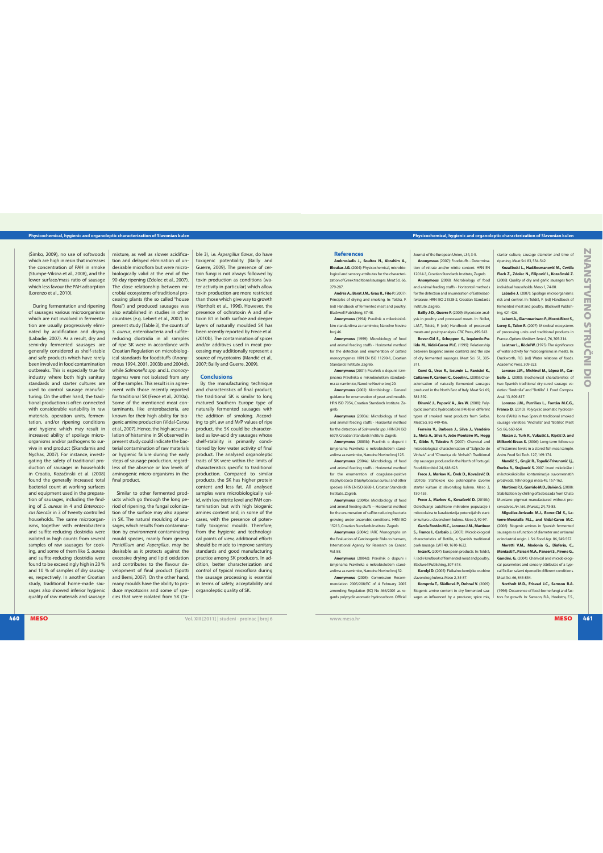## **Physicochemical, hygienic and organoleptic characterization of Slavonian kulen Physicochemical, hygienic and organoleptic characterization of Slavonian kulen**

(Simko, 2009), no use of softwoods which are high in resin that increases the concentration of PAH in smoke (Stumpe-Viksna et al., 2008), and the lower surface/mass ratio of sausage which less favour the PAH adsorption<br>(Lorenzo et al., 2010).

<sup>460</sup> .&40 **Vol. XIII [2011] | studeni - proinac | broj 6 www.meso.hr** .&40 <sup>461</sup> ;/"/457&/04536ė/\*%\*0 During fermentation and ripening of sausages various microorganisms which are not involved in fermentation are usually progressively elimi-<br>nated by acidification and drying<br>(Labadie, 2007). As a result, dry and semi-dry fermented sausages generally considered as shelf-stable and safe products which have rarely been involved in food contamination outbreaks. This is especially true for industry where both high sanitary standards and starter cultures are used to control sausage manufacturing. On the other hand, the traditional production is often connected with considerable variability in raw materials, operation units, fermentation, and/or ripening conditions and hygiene which may result in increased ability of spoilage microorganisms and/or pathogens to survive in end product (Skandamis and Nychas, 2007). For instance, investi-<br>gating the safety of traditional production of sausages in households<br>in Croatia, Kozačinski et al. (2008) found the generally increased total bacterial count at working surfaces and equipment used in the preparation of sausages, including the find-<br>ing of *S. aureus* in 4 and *Enterococ-*<br>*cus faecalis* in 3 of twenty controlled households. The same microorgan-isms, together with enterobacteria and sulfite-reducing clostridia were isolated in high counts from several samples of raw sausages for cook-<br>ing, and some of them like S. aureus<br>and sulfite-reducing clostridia were found to be exceedingly high in 20% and 10 % of samples of dry sausag-<br>es, respectively. In another Croatian study, traditional home-made sausages also showed inferior hygienic ges also shorted interior hygieline

mixture, as well as slower acidification and delayed elimination of un-desirable microflora but were microbiologically valid at the end of the 90-day ripening (Zdolec et al., 2007).<br>The close relationship between mi-<br>crobial ecosystems of traditional processing plants (the so called "house flora") and produced sausages was<br>also established in studies in other<br>countries (e.g. Lebert et al., 2007). In present study (Table 3), the counts of<br>S. *aureus*, enterobacteria and sulfite-S. aureus, enterobacteria and sulfite-reducing clostridia in all samples of ripe SK were in accordance with Croatian Regulation on microbiological standards for foodstuffs (Anony-<br>mous 1994, 2001, 2003b and 2004d),<br>while *Salmonella spp.* and *L. monocy*togenes were not isolated from any of the samples. This result is in agreement with those recently reported<br>for traditional SK (Frece et al., 2010a). Some of the mentioned meat con-taminants, like enterobacteria, are known for their high ability for biogenic amine production (Vidal-Carou et al., 2007). Hence, the high accumu-<br>lation of histamine in SK observed in present study could indicate the bacterial contamination of raw materials or hygienic failure during the early steps of sausage production, regardless of the absence or low levels of aminogenic micro-organisms in the final product.

Similar to other fermented products which go through the long pe-riod of ripening, the fungal coloniza-tion of the surface may also appear in SK. The natural moulding of sau-sages, which results from contamination by environment-contaminating mould species, mainly from genera Penicillium and Aspergillus, may be<br>desirable as it protects against the<br>excessive drying and lipid oxidation and contributes to the flavour development of final product (Spotti<br>and Berni, 2007). On the other hand, many moulds have the ability to produce mycotoxins and some of species that were isolated from SK (Table 3), i.e. Aspergillus flavus, do have toxigenic potentiality (Bailly and Guerre, 2009). The presence of certain fungi is not always followed by toxin production as conditions (water activity in particular) which allow oxin production are more restrict than those which give way to growth<br>(Northolt et al., 1996). However, the (Northolt et al., 1996). He (Northolt et al., 1996). However, the<br>presence of ochratoxin A and afla-<br>toxin B1 in both surface and deeper layers of naturally moulded SK has been recently reported by Frece et al. (2010b). The contamination of spices<br>and/or additives used in meat processing may additionally represent a<br>source of mycotoxins (Mandić et al.,<br>2007; Bailly and Guerre, 2009).

#### **Conclusions**

the manufacturing technique and characteristics of final product, the traditional SK is similar to long matured Southern Europe type of naturally fermented sausages with the addition of smoking. Accord-ing to pH, aw and M/P values of ripe product, the SK could be character-ised as low-acid dry sausages whose shelf-stability is primarily condi-tioned by low water activity of final product. The analysed organoleptic traits of SK were within the limits of characteristics specific to traditional production. Compared to similar products, the SK has higher protein content and less fat. All analysed samples were microbiologically valid, with low nitrite level and PAH contamination but with high biogenic amines content and, in some of the cases, with the presence of poten-tially toxigenic moulds. Therefore, from the hygienic and technologi-cal points of view, additional efforts should be made to improve sanitary standards and good manufacturing practice among SK producers. In addition, better characterization and dition, better characterizament is the strategies interestion in terms of safety, acceptability and organoleptic quality of SK.

### **References**

**Ambrosiadis J., Soultos N., Abrahim A.,<br>
<b>Bloukas J.G.** (2004): Physicochemical, microbiological and sensory attributes for the characteri-zation of Greek traditional sausages. Meat Sci. 279.287

<sup>.</sup><br>rés A., Barat J.M., Grau R., Fito P. (2007 Principles of drying and smoking. In: Toldrá, F. (ed) Handbook of fermented meat and poultry.

Blackwell Publishing, 37-48.<br>**Anonymous** (1994): Pravilnik o mikrobiološ-<br>kim standardima za namirnice, Narodne Novine

hroi 46 Anonymous (1999): Microbiology of food

and animal feeding stuffs - Horizontal method for the detection and enumeration of Listeria monocytogenes. HRN EN ISO 11290-1, Cn.<br>-<br>3/40 nocytogenes. HRN EN ISO 11290-1, Cn.

Standards Institute. Zagreb.<br>**Anonymous** (2001): Pravilnik o dopuni i izm-

jenama Pravilnika o mikrobiološkim standardi-<br>ma za namirnice, Narodne Novine broj 20.<br>**Anonymous** (2002): Microbiology - General guidance for enumeration of yeast and moulds. guiuance for enumeration or yours and it<br>HRN ISO 7954, Croatian Standards Institute. Za greb.

Anonymous (2003a): Microbiology of food and animal feeding stuffs - Horizontal method<br>for the detection of *Salmonella spp.* HRN EN ISO<br>6579, Croatian Standards Institute. Zagreb.

Anonymous (2003b): Pravilnik o dopuni i izmjenama Pravilnika o mikrobiološkim stand-

ardima za namirnice, Narodne Novine broj 125.<br>**Anonymous** (2004a): Microbiology of food and animal feeding stuffs - Horizontal method for the enumeration of coagulase-positive staphyloccoco (Staphylococcus aureus and other<br>species). HRN EN ISO 6888-1, Croatian Standards

**Institute. Zagreb. Anonymous** (2004b): Microbiology of food<br>and animal feeding stuffs -- Horizontal method<br>for the enumeration of sulfite-reducing bacteria

growing under anaerobic conditions. HRN ISO<br>15213, Croatian Standards Institute. Zagreb. Anonymous (2004c): IARC Monographs on the Evaluation of Carcinogenic Risks to humans, International Agency for Research on Cancer,

Vol. 88. Anonymous (2004d): Pravilnik o dopuni i

izmjenama Pravilnika o mikrobiološkim standardima za namirnice, Narodne Novine broj 32.<br>**Anonymous** (2005): Commission Recommendation 2005/208/EC of 4 February 2005

amending Regulation (EC) No 466/2001 as regards polycyclic aromatic hydrocarbons. Official

Journal of the European Union, L34, 3-5.

**Anonymous** (2007): Foodstuffs - Determination of nitrate and/or nitrite content. HRN EN 12014-3, Croatian Standards Institute, Zagreb. **Anonymous** (2008): Microbiology of food<br>and animal feeding stuffs - Horizontal methods for the detection and enumeration of En teriaceae, HRN ISO 21528-2, Croatian Standards

Institute. Zagreb. **Bailly J-D., Guerre P.** (2009): Mycotoxin analis in poultry and processed meats. In: Nollet, L.M.T., Toldrá, F. (eds) Handbook of processed

meats and poultry analysis. CRC Press, 499-543.<br>**Bover-Cid S., Schoppen S., Izquierdo-Pu-**<br>**lido M., Vidal-Carou M.C.** (1999): Relationship between biogenic amine contents and the size<br>of dry fermented sausages. Meat Sci. 51, 305-311.

**Comi G., Urso R., Iacumin L., Rantsioi K.,**  Cattaneo P., Cantoni C., Cocolin L. (2005): Char-<br>acterisation of naturally fermented sausages<br>produced in the North East of Italy. Meat Sci. 69,

.<br>381-392. **Đinović J., Popović A., Jira W.** (2008): Poly-<br>cyclic aromatic hydrocarbons (PAHs) in different<br>types of smoked meat products from Serbia.

Meat Sci. 80, 449-456.<br>**Ferreira V., Barbosa J., Silva J., Vendeiro**<br>**S., Mota A., Silva F., Joăo Monteiro M., Hogg<br>T., Gibbs P., Teixeira P.** (2007): Chemical and microbiological characterisation of "Salpicăo de Vinhais" and "Chouriça de Vinhais": Traditional dry sausages produced in the North of Portugal. Food Microbiol, 24, 618-623.

**Frece J., Markov K., Čvek D., Kovačević D.**  (2010a): Stafilokoki kao potencijalne izvorne<br>starter kulture iz slavonskog kulena. Meso 3, 150-155

Frece J., Markov K., Kovačević D. (2010b): Određivanje autohtone mikrobne populacije i mikotoksina te karakterizcija potencijalnih starter kultura u slavonskom kulenu. Meso 2, 92-97.<br>**García Fontán M.C., Lorenzo J.M., Martínez** 

S., Franco I., Carbalo J. (2007): Microbiological characteristics of Botillo, a Spanish traditional

pork sausage. LWT 40, 1610-1622.<br>**Incze K.** (2007): European products. In: Toldrá,<br>F. (ed) *Handbook* of fermented meat and poultry. Mackwell Publishing 307-318

**Karolyi D.** (2005): Fizikalno-kemijske osobine<br>slavonskog kulena. Meso 2, 35-37. **Komprda T., Sládková P., Dohnal V.** 

Biogenic amine content in dry fermented saues as influenced by a producer, spice mix,

starter culture, sausage diameter and time of ripening. Meat Sci. 83, 534-542.<br>**Kozačinski L., Hadžiosmanović M., Cvrtila**<br>**Fleck Ž., Zdolec N., Filipović I., Kozačinski Z.** (2008): Quality of dry and garlic sausages from

individual households. Meso 1, 74-80.<br>**Labadie J.** (2007): Spoilage microorganisms: risk and control. In: Toldrá, F. (ed) Handbook of fermented meat and poultry. Blackwell Publishing, 421-426

**Lebert A., Giammarinaro P., Morot-Bizot S., Leroy S., Talon R.** (2007): Microbial ecosystems of processing units and traditional products in<br>France. Options Mediterr. Serie A, 76, 305-314.<br>**Leistner L., Rödel W.** (1975): The significance

of water activity for microorgnisms in meats. In: Duckworth, R.B. (ed) Water relations of foods.

Academic Press, 309-323.<br>**Lorenzo J.M., Michinel M., López M., Carballo J.** (2000): Biochemical characteristics of<br>two Spanish traditional dry-cured sausage varieties: "Androlla" and "Botillo". J. Food Compos. Anal 13, 809-817

**Lorenzo J.M., Purriños L., Fontán M.C.G., Franco D.** (2010): Polycyclic aromatic hydrocarbons (PAHs) in two Spanish traditional smoked sausage varieties: "Androlla" and "Botillo". Meat Sci. 86.660-664

**Macan J., Turk R., Vukušić J., Kipčić D. and**  Milković-Kraus S. (2006): Long-term follow-up of histamine levels in a stored fish meal sample.

Anim. Feed Sci. Tech. **Mandić S., Grujić R., Topalić-Trivunović Lj.,**  Đurica R., Stojković S. 2007. Izvori mikološke maniko kontaminacije su<br>otoksikološke kontaminacije su<br>zvoda. Tehnologija mesa 49, 157

proizvoda. Tehnologija mesa 49, 157-162.<br>**Martínez P.J., Garrido M.D., Bañón S.** (2008) ): Stabilization by chilling of Sobrasada from Chato Murciano pigmeat manufactured without pre<br>servatives. An. Vet. (Murcia), 24, 73-83.<br>**Miguélez-Arrizado M.J., Bover-Cid S., La-**

**torre-Moratalla M.L., and Vidal-Carou M.C. wile-mun**  #JPHFOJD BNJOFT JO 4QBOJTI GFSNFOUFE sausages as a function of diameter and artisanal or industrial origin. J. Sci. Food Agr. 86, 549-557.

**Moretti V.M., Madonia G., Diaferia, C., <br><b>Mentasti T., Paleari M.A., Panseri S., Pirone G., <br><b>Gandini, G.** (2004): Chemical and microbiological<br>cal parameters and sensory attributes of a typical Sicilian salami ripened in different conditions.

Meat Sci. **Northolt M.D., Frisvad J.C., Samson R.A.**  (1996): Occurrence of food-home function for (1996): Occurrence of food-borne fungi and fac-<br>tors for growth. In: Samson, R.A., Hoekstra, E.S.,